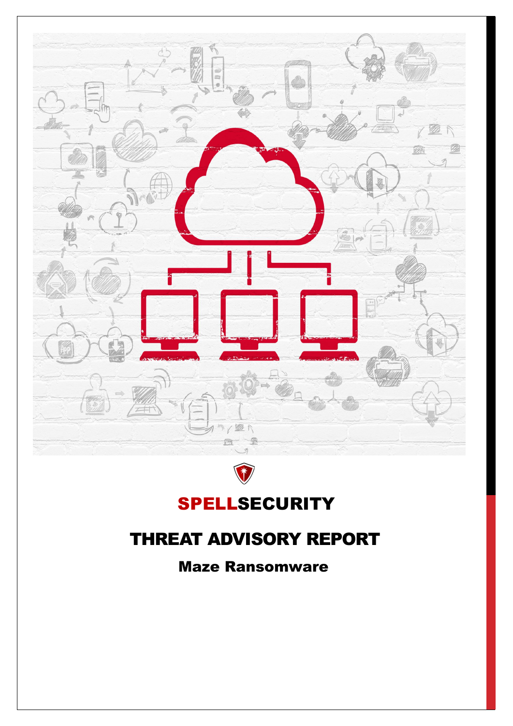# SPELLSECURITY THREAT ADVISORY REPORT Maze Ransomware

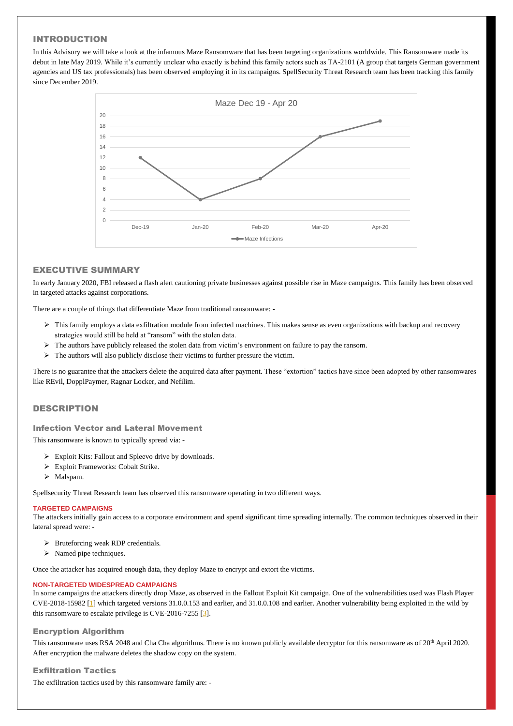# INTRODUCTION

In this Advisory we will take a look at the infamous Maze Ransomware that has been targeting organizations worldwide. This Ransomware made its debut in late May 2019. While it's currently unclear who exactly is behind this family actors such as TA-2101 (A group that targets German government agencies and US tax professionals) has been observed employing it in its campaigns. SpellSecurity Threat Research team has been tracking this family since December 2019.

# EXECUTIVE SUMMARY

In early January 2020, FBI released a flash alert cautioning private businesses against possible rise in Maze campaigns. This family has been observed in targeted attacks against corporations.

There are a couple of things that differentiate Maze from traditional ransomware: -

- $\triangleright$  This family employs a data exfiltration module from infected machines. This makes sense as even organizations with backup and recovery strategies would still be held at "ransom" with the stolen data.
- ➢ The authors have publicly released the stolen data from victim's environment on failure to pay the ransom.
- $\triangleright$  The authors will also publicly disclose their victims to further pressure the victim.

- ➢ Bruteforcing weak RDP credentials.
- $\triangleright$  Named pipe techniques.

There is no guarantee that the attackers delete the acquired data after payment. These "extortion" tactics have since been adopted by other ransomwares like REvil, DopplPaymer, Ragnar Locker, and Nefilim.

This ransomware uses RSA 2048 and Cha Cha algorithms. There is no known publicly available decryptor for this ransomware as of 20<sup>th</sup> April 2020. After encryption the malware deletes the shadow copy on the system.

## DESCRIPTION

Infection Vector and Lateral Movement

This ransomware is known to typically spread via: -

- ➢ Exploit Kits: Fallout and Spleevo drive by downloads.
- ➢ Exploit Frameworks: Cobalt Strike.
- ➢ Malspam.

Spellsecurity Threat Research team has observed this ransomware operating in two different ways.

### **TARGETED CAMPAIGNS**

The attackers initially gain access to a corporate environment and spend significant time spreading internally. The common techniques observed in their lateral spread were: -

Once the attacker has acquired enough data, they deploy Maze to encrypt and extort the victims.

### **NON-TARGETED WIDESPREAD CAMPAIGNS**

In some campaigns the attackers directly drop Maze, as observed in the Fallout Exploit Kit campaign. One of the vulnerabilities used was Flash Player CVE-2018-15982 [\[1\]](https://nvd.nist.gov/vuln/detail/CVE-2018-15982) which targeted versions 31.0.0.153 and earlier, and 31.0.0.108 and earlier. Another vulnerability being exploited in the wild by this ransomware to escalate privilege is CVE-2016-7255 [\[3\]](https://nvd.nist.gov/vuln/detail/CVE-2016-7255).

# Encryption Algorithm

Exfiltration Tactics

The exfiltration tactics used by this ransomware family are: -

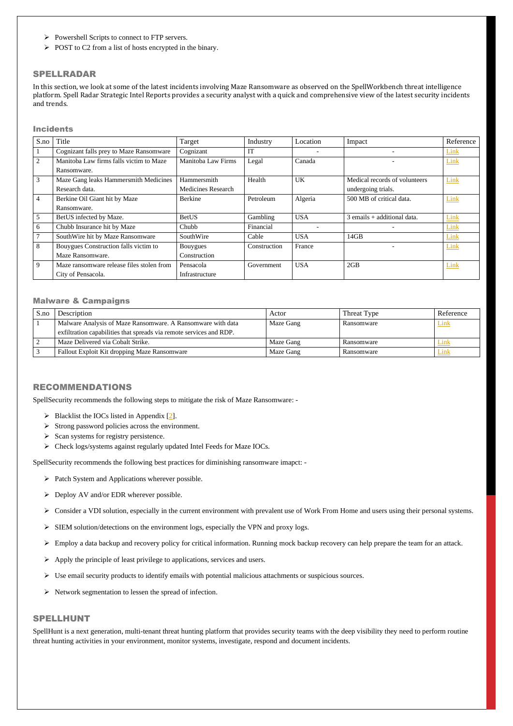- ➢ Powershell Scripts to connect to FTP servers.
- ➢ POST to C2 from a list of hosts encrypted in the binary.

### SPELLRADAR

In this section, we look at some of the latest incidents involving Maze Ransomware as observed on the SpellWorkbench threat intelligence platform. Spell Radar Strategic Intel Reports provides a security analyst with a quick and comprehensive view of the latest security incidents and trends.

### Incidents

| S.no            | Title                                     | Target             | Industry     | Location   | Impact                        | Reference |
|-----------------|-------------------------------------------|--------------------|--------------|------------|-------------------------------|-----------|
|                 | Cognizant falls prey to Maze Ransomware   | Cognizant          | IT           |            | $\overline{\phantom{a}}$      | Link      |
| $\overline{2}$  | Manitoba Law firms falls victim to Maze   | Manitoba Law Firms | Legal        | Canada     |                               | Link      |
|                 | Ransomware.                               |                    |              |            |                               |           |
| 3               | Maze Gang leaks Hammersmith Medicines     | Hammersmith        | Health       | <b>UK</b>  | Medical records of volunteers | Link      |
|                 | Research data.                            | Medicines Research |              |            | undergoing trials.            |           |
| $\overline{4}$  | Berkine Oil Giant hit by Maze             | Berkine            | Petroleum    | Algeria    | 500 MB of critical data.      | Link      |
|                 | Ransomware.                               |                    |              |            |                               |           |
| $5\overline{)}$ | BetUS infected by Maze.                   | <b>BetUS</b>       | Gambling     | <b>USA</b> | $3$ emails + additional data. | Link      |
| 6               | Chubb Insurance hit by Maze               | Chubb              | Financial    |            |                               | Link      |
|                 | SouthWire hit by Maze Ransomware          | SouthWire          | Cable        | <b>USA</b> | 14GB                          | Link      |
| 8               | Bouygues Construction falls victim to     | <b>Bouygues</b>    | Construction | France     |                               | Link      |
|                 | Maze Ransomware.                          | Construction       |              |            |                               |           |
| 9               | Maze ransomware release files stolen from | Pensacola          | Government   | <b>USA</b> | 2GB                           | Link      |
|                 | City of Pensacola.                        | Infrastructure     |              |            |                               |           |

- $\triangleright$  Blacklist the IOCs listed in Appendix [\[2\]](#page-3-0).
- ➢ Strong password policies across the environment.
- ➢ Scan systems for registry persistence.
- ➢ Check logs/systems against regularly updated Intel Feeds for Maze IOCs.

### Malware & Campaigns

| S.no | Description                                                         | Actor     | Threat Type | Reference   |
|------|---------------------------------------------------------------------|-----------|-------------|-------------|
|      | Malware Analysis of Maze Ransomware. A Ransomware with data         | Maze Gang | Ransomware  | Link        |
|      | exfiltration capabilities that spreads via remote services and RDP. |           |             |             |
|      | Maze Delivered via Cobalt Strike.                                   | Maze Gang | Ransomware  | Link        |
|      | Fallout Exploit Kit dropping Maze Ransomware                        | Maze Gang | Ransomware  | <b>Link</b> |

### RECOMMENDATIONS

SpellSecurity recommends the following steps to mitigate the risk of Maze Ransomware: -

SpellSecurity recommends the following best practices for diminishing ransomware imapct: -

- ➢ Patch System and Applications wherever possible.
- $\triangleright$  Deploy AV and/or EDR wherever possible.
- ➢ Consider a VDI solution, especially in the current environment with prevalent use of Work From Home and users using their personal systems.
- ➢ SIEM solution/detections on the environment logs, especially the VPN and proxy logs.
- ➢ Employ a data backup and recovery policy for critical information. Running mock backup recovery can help prepare the team for an attack.
- ➢ Apply the principle of least privilege to applications, services and users.
- ➢ Use email security products to identify emails with potential malicious attachments or suspicious sources.
- ➢ Network segmentation to lessen the spread of infection.

# SPELLHUNT

SpellHunt is a next generation, multi-tenant threat hunting platform that provides security teams with the deep visibility they need to perform routine threat hunting activities in your environment, monitor systems, investigate, respond and document incidents.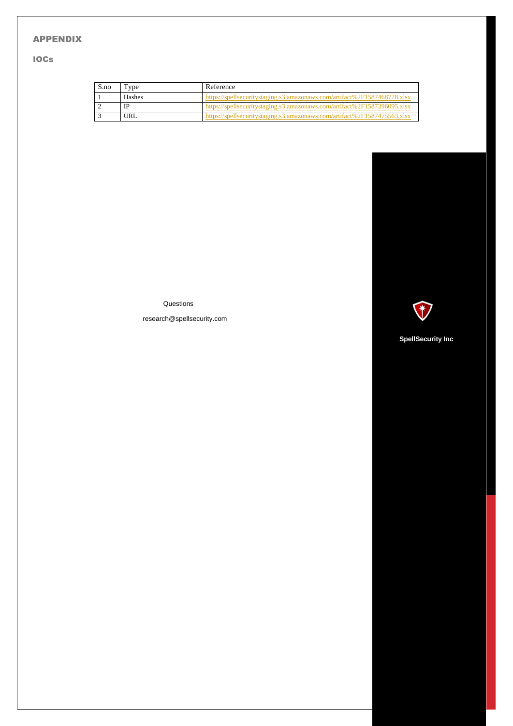# <span id="page-3-0"></span>APPENDIX

# IOCs

| S.no | Type       | Reference                                                                |
|------|------------|--------------------------------------------------------------------------|
|      | Hashes     | https://spellsecuritystaging.s3.amazonaws.com/artifact%2F1587468778.xlsx |
|      | IP         | https://spellsecuritystaging.s3.amazonaws.com/artifact%2F1587396095.xlsx |
|      | <b>URL</b> | https://spellsecuritystaging.s3.amazonaws.com/artifact%2F1587475563.xlsx |

**Questions** 

research@spellsecurity.com



 **SpellSecurity Inc**